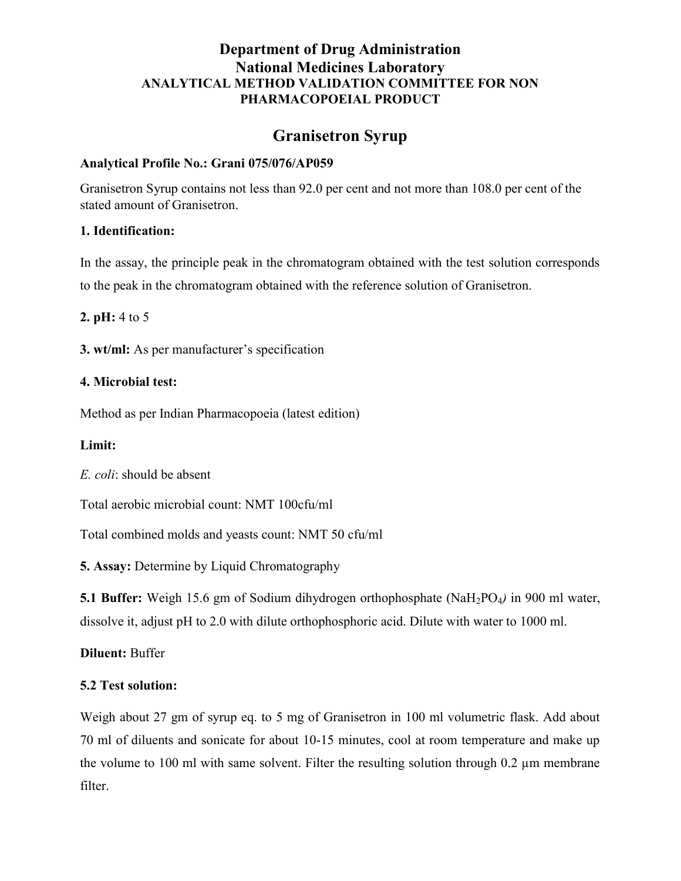# Department of Drug Administration National Medicines Laboratory ANALYTICAL METHOD VALIDATION COMMITTEE FOR NON PHARMACOPOEIAL PRODUCT

# Granisetron Syrup

## Analytical Profile No.: Grani 075/076/AP059

Granisetron Syrup contains not less than 92.0 per cent and not more than 108.0 per cent of the stated amount of Granisetron.

## 1. Identification:

In the assay, the principle peak in the chromatogram obtained with the test solution corresponds to the peak in the chromatogram obtained with the reference solution of Granisetron.

2. pH: 4 to 5

3. wt/ml: As per manufacturer's specification

## 4. Microbial test:

Method as per Indian Pharmacopoeia (latest edition)

# Limit:

E. coli: should be absent

Total aerobic microbial count: NMT 100cfu/ml

Total combined molds and yeasts count: NMT 50 cfu/ml

5. Assay: Determine by Liquid Chromatography

**5.1 Buffer:** Weigh 15.6 gm of Sodium dihydrogen orthophosphate (NaH<sub>2</sub>PO<sub>4</sub>) in 900 ml water, dissolve it, adjust pH to 2.0 with dilute orthophosphoric acid. Dilute with water to 1000 ml.

Diluent: Buffer

# 5.2 Test solution:

Weigh about 27 gm of syrup eq. to 5 mg of Granisetron in 100 ml volumetric flask. Add about 70 ml of diluents and sonicate for about 10-15 minutes, cool at room temperature and make up the volume to 100 ml with same solvent. Filter the resulting solution through  $0.2 \mu m$  membrane filter.